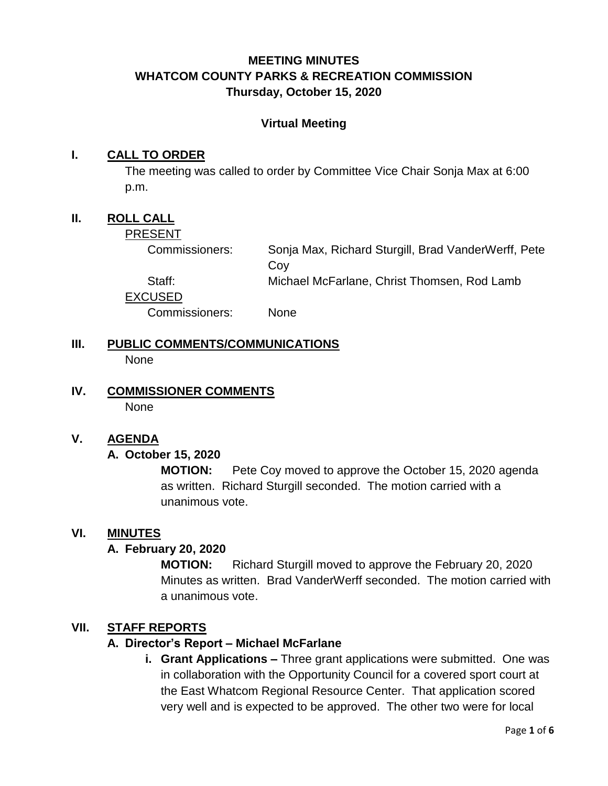## **MEETING MINUTES WHATCOM COUNTY PARKS & RECREATION COMMISSION Thursday, October 15, 2020**

#### **Virtual Meeting**

#### **I. CALL TO ORDER**

The meeting was called to order by Committee Vice Chair Sonja Max at 6:00 p.m.

## **II. ROLL CALL**

PRESENT

Commissioners: Sonja Max, Richard Sturgill, Brad VanderWerff, Pete Coy

Staff: Michael McFarlane, Christ Thomsen, Rod Lamb

EXCUSED

Commissioners: None

- **III. PUBLIC COMMENTS/COMMUNICATIONS None**
- **IV. COMMISSIONER COMMENTS** None

#### **V. AGENDA**

#### **A. October 15, 2020**

**MOTION:** Pete Coy moved to approve the October 15, 2020 agenda as written. Richard Sturgill seconded. The motion carried with a unanimous vote.

#### **VI. MINUTES**

#### **A. February 20, 2020**

**MOTION:** Richard Sturgill moved to approve the February 20, 2020 Minutes as written. Brad VanderWerff seconded. The motion carried with a unanimous vote.

#### **VII. STAFF REPORTS**

#### **A. Director's Report – Michael McFarlane**

**i. Grant Applications –** Three grant applications were submitted. One was in collaboration with the Opportunity Council for a covered sport court at the East Whatcom Regional Resource Center. That application scored very well and is expected to be approved. The other two were for local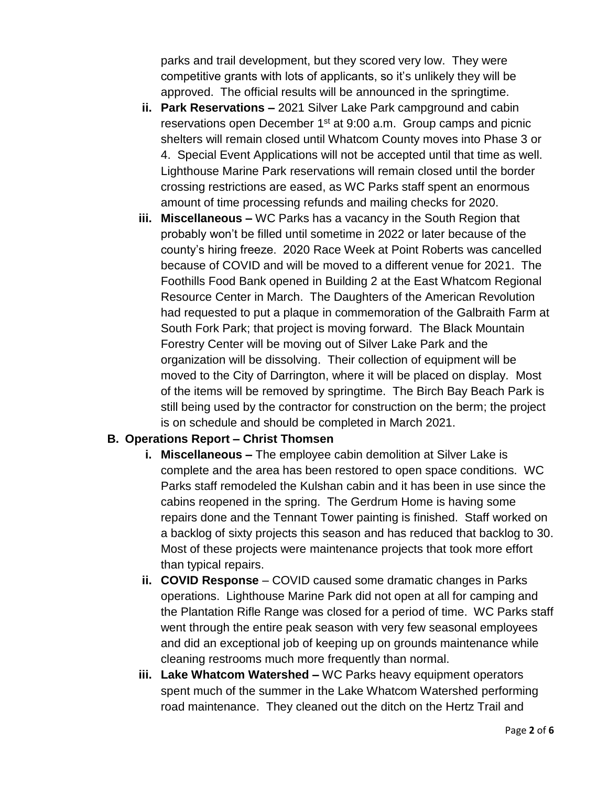parks and trail development, but they scored very low. They were competitive grants with lots of applicants, so it's unlikely they will be approved. The official results will be announced in the springtime.

- **ii. Park Reservations –** 2021 Silver Lake Park campground and cabin reservations open December 1<sup>st</sup> at 9:00 a.m. Group camps and picnic shelters will remain closed until Whatcom County moves into Phase 3 or 4. Special Event Applications will not be accepted until that time as well. Lighthouse Marine Park reservations will remain closed until the border crossing restrictions are eased, as WC Parks staff spent an enormous amount of time processing refunds and mailing checks for 2020.
- **iii. Miscellaneous –** WC Parks has a vacancy in the South Region that probably won't be filled until sometime in 2022 or later because of the county's hiring freeze. 2020 Race Week at Point Roberts was cancelled because of COVID and will be moved to a different venue for 2021. The Foothills Food Bank opened in Building 2 at the East Whatcom Regional Resource Center in March. The Daughters of the American Revolution had requested to put a plaque in commemoration of the Galbraith Farm at South Fork Park; that project is moving forward. The Black Mountain Forestry Center will be moving out of Silver Lake Park and the organization will be dissolving. Their collection of equipment will be moved to the City of Darrington, where it will be placed on display. Most of the items will be removed by springtime. The Birch Bay Beach Park is still being used by the contractor for construction on the berm; the project is on schedule and should be completed in March 2021.

#### **B. Operations Report – Christ Thomsen**

- **i. Miscellaneous –** The employee cabin demolition at Silver Lake is complete and the area has been restored to open space conditions. WC Parks staff remodeled the Kulshan cabin and it has been in use since the cabins reopened in the spring. The Gerdrum Home is having some repairs done and the Tennant Tower painting is finished. Staff worked on a backlog of sixty projects this season and has reduced that backlog to 30. Most of these projects were maintenance projects that took more effort than typical repairs.
- **ii. COVID Response** COVID caused some dramatic changes in Parks operations. Lighthouse Marine Park did not open at all for camping and the Plantation Rifle Range was closed for a period of time. WC Parks staff went through the entire peak season with very few seasonal employees and did an exceptional job of keeping up on grounds maintenance while cleaning restrooms much more frequently than normal.
- **iii. Lake Whatcom Watershed –** WC Parks heavy equipment operators spent much of the summer in the Lake Whatcom Watershed performing road maintenance. They cleaned out the ditch on the Hertz Trail and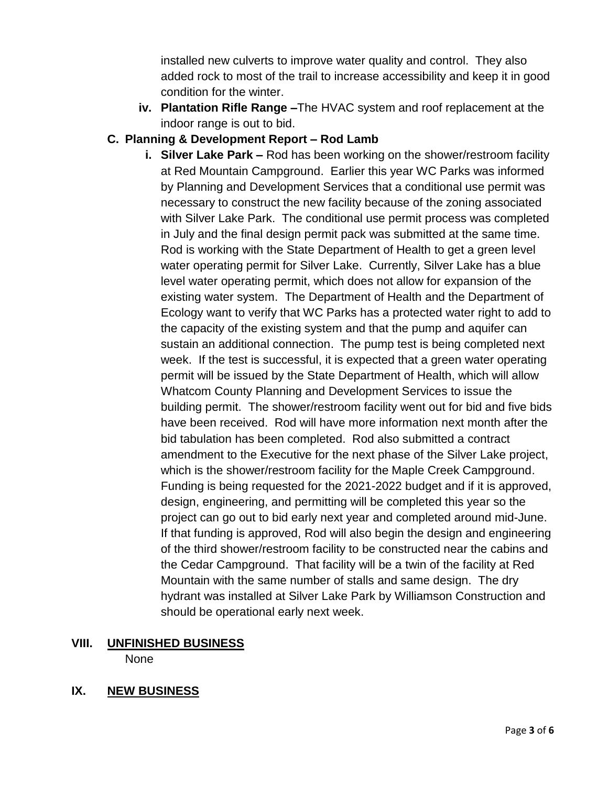installed new culverts to improve water quality and control. They also added rock to most of the trail to increase accessibility and keep it in good condition for the winter.

**iv. Plantation Rifle Range –**The HVAC system and roof replacement at the indoor range is out to bid.

## **C. Planning & Development Report – Rod Lamb**

**i. Silver Lake Park –** Rod has been working on the shower/restroom facility at Red Mountain Campground. Earlier this year WC Parks was informed by Planning and Development Services that a conditional use permit was necessary to construct the new facility because of the zoning associated with Silver Lake Park. The conditional use permit process was completed in July and the final design permit pack was submitted at the same time. Rod is working with the State Department of Health to get a green level water operating permit for Silver Lake. Currently, Silver Lake has a blue level water operating permit, which does not allow for expansion of the existing water system. The Department of Health and the Department of Ecology want to verify that WC Parks has a protected water right to add to the capacity of the existing system and that the pump and aquifer can sustain an additional connection. The pump test is being completed next week. If the test is successful, it is expected that a green water operating permit will be issued by the State Department of Health, which will allow Whatcom County Planning and Development Services to issue the building permit. The shower/restroom facility went out for bid and five bids have been received. Rod will have more information next month after the bid tabulation has been completed. Rod also submitted a contract amendment to the Executive for the next phase of the Silver Lake project, which is the shower/restroom facility for the Maple Creek Campground. Funding is being requested for the 2021-2022 budget and if it is approved, design, engineering, and permitting will be completed this year so the project can go out to bid early next year and completed around mid-June. If that funding is approved, Rod will also begin the design and engineering of the third shower/restroom facility to be constructed near the cabins and the Cedar Campground. That facility will be a twin of the facility at Red Mountain with the same number of stalls and same design. The dry hydrant was installed at Silver Lake Park by Williamson Construction and should be operational early next week.

# **VIII. UNFINISHED BUSINESS**

None

## **IX. NEW BUSINESS**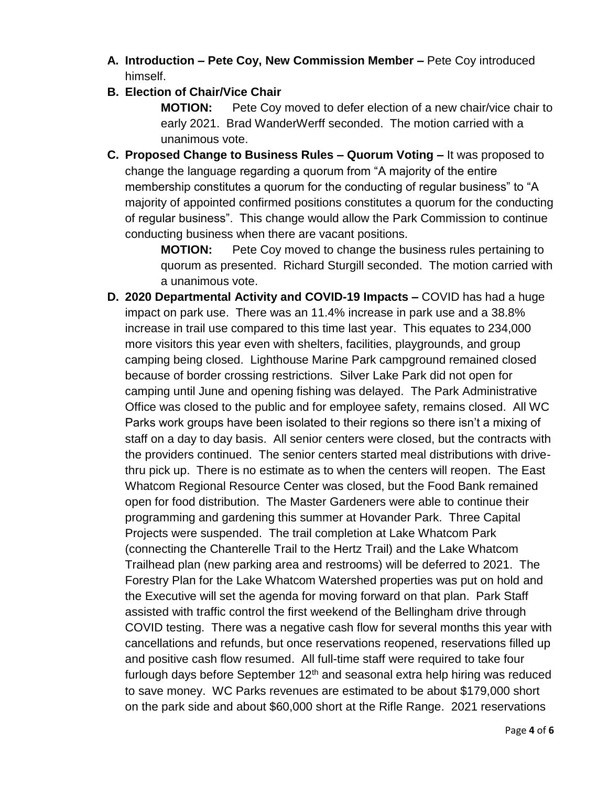- **A. Introduction – Pete Coy, New Commission Member –** Pete Coy introduced himself.
- **B. Election of Chair/Vice Chair**

**MOTION:** Pete Coy moved to defer election of a new chair/vice chair to early 2021. Brad WanderWerff seconded. The motion carried with a unanimous vote.

**C. Proposed Change to Business Rules – Quorum Voting –** It was proposed to change the language regarding a quorum from "A majority of the entire membership constitutes a quorum for the conducting of regular business" to "A majority of appointed confirmed positions constitutes a quorum for the conducting of regular business". This change would allow the Park Commission to continue conducting business when there are vacant positions.

> **MOTION:** Pete Coy moved to change the business rules pertaining to quorum as presented. Richard Sturgill seconded. The motion carried with a unanimous vote.

**D. 2020 Departmental Activity and COVID-19 Impacts –** COVID has had a huge impact on park use. There was an 11.4% increase in park use and a 38.8% increase in trail use compared to this time last year. This equates to 234,000 more visitors this year even with shelters, facilities, playgrounds, and group camping being closed. Lighthouse Marine Park campground remained closed because of border crossing restrictions. Silver Lake Park did not open for camping until June and opening fishing was delayed. The Park Administrative Office was closed to the public and for employee safety, remains closed. All WC Parks work groups have been isolated to their regions so there isn't a mixing of staff on a day to day basis. All senior centers were closed, but the contracts with the providers continued. The senior centers started meal distributions with drivethru pick up. There is no estimate as to when the centers will reopen. The East Whatcom Regional Resource Center was closed, but the Food Bank remained open for food distribution. The Master Gardeners were able to continue their programming and gardening this summer at Hovander Park. Three Capital Projects were suspended. The trail completion at Lake Whatcom Park (connecting the Chanterelle Trail to the Hertz Trail) and the Lake Whatcom Trailhead plan (new parking area and restrooms) will be deferred to 2021. The Forestry Plan for the Lake Whatcom Watershed properties was put on hold and the Executive will set the agenda for moving forward on that plan. Park Staff assisted with traffic control the first weekend of the Bellingham drive through COVID testing. There was a negative cash flow for several months this year with cancellations and refunds, but once reservations reopened, reservations filled up and positive cash flow resumed. All full-time staff were required to take four furlough days before September  $12<sup>th</sup>$  and seasonal extra help hiring was reduced to save money. WC Parks revenues are estimated to be about \$179,000 short on the park side and about \$60,000 short at the Rifle Range. 2021 reservations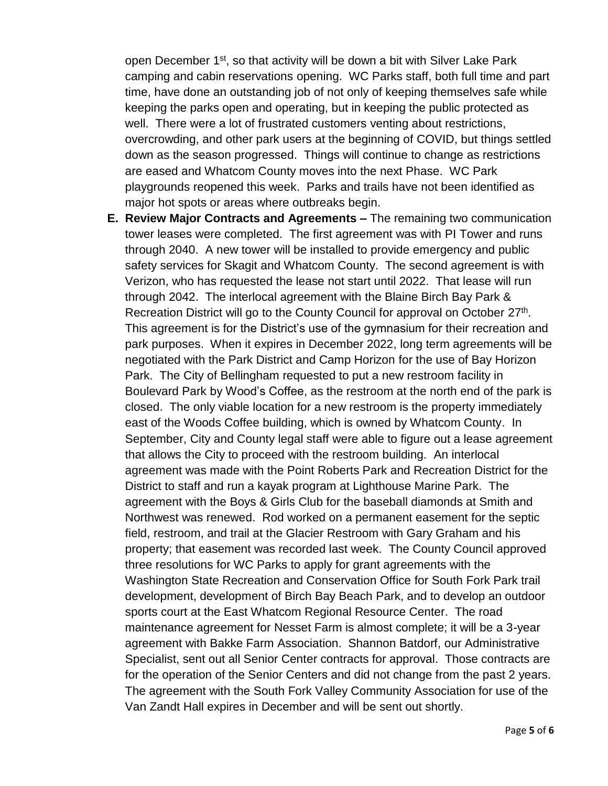open December 1<sup>st</sup>, so that activity will be down a bit with Silver Lake Park camping and cabin reservations opening. WC Parks staff, both full time and part time, have done an outstanding job of not only of keeping themselves safe while keeping the parks open and operating, but in keeping the public protected as well. There were a lot of frustrated customers venting about restrictions, overcrowding, and other park users at the beginning of COVID, but things settled down as the season progressed. Things will continue to change as restrictions are eased and Whatcom County moves into the next Phase. WC Park playgrounds reopened this week. Parks and trails have not been identified as major hot spots or areas where outbreaks begin.

**E. Review Major Contracts and Agreements –** The remaining two communication tower leases were completed. The first agreement was with PI Tower and runs through 2040. A new tower will be installed to provide emergency and public safety services for Skagit and Whatcom County. The second agreement is with Verizon, who has requested the lease not start until 2022. That lease will run through 2042. The interlocal agreement with the Blaine Birch Bay Park & Recreation District will go to the County Council for approval on October 27<sup>th</sup>. This agreement is for the District's use of the gymnasium for their recreation and park purposes. When it expires in December 2022, long term agreements will be negotiated with the Park District and Camp Horizon for the use of Bay Horizon Park. The City of Bellingham requested to put a new restroom facility in Boulevard Park by Wood's Coffee, as the restroom at the north end of the park is closed. The only viable location for a new restroom is the property immediately east of the Woods Coffee building, which is owned by Whatcom County. In September, City and County legal staff were able to figure out a lease agreement that allows the City to proceed with the restroom building. An interlocal agreement was made with the Point Roberts Park and Recreation District for the District to staff and run a kayak program at Lighthouse Marine Park. The agreement with the Boys & Girls Club for the baseball diamonds at Smith and Northwest was renewed. Rod worked on a permanent easement for the septic field, restroom, and trail at the Glacier Restroom with Gary Graham and his property; that easement was recorded last week. The County Council approved three resolutions for WC Parks to apply for grant agreements with the Washington State Recreation and Conservation Office for South Fork Park trail development, development of Birch Bay Beach Park, and to develop an outdoor sports court at the East Whatcom Regional Resource Center. The road maintenance agreement for Nesset Farm is almost complete; it will be a 3-year agreement with Bakke Farm Association. Shannon Batdorf, our Administrative Specialist, sent out all Senior Center contracts for approval. Those contracts are for the operation of the Senior Centers and did not change from the past 2 years. The agreement with the South Fork Valley Community Association for use of the Van Zandt Hall expires in December and will be sent out shortly.